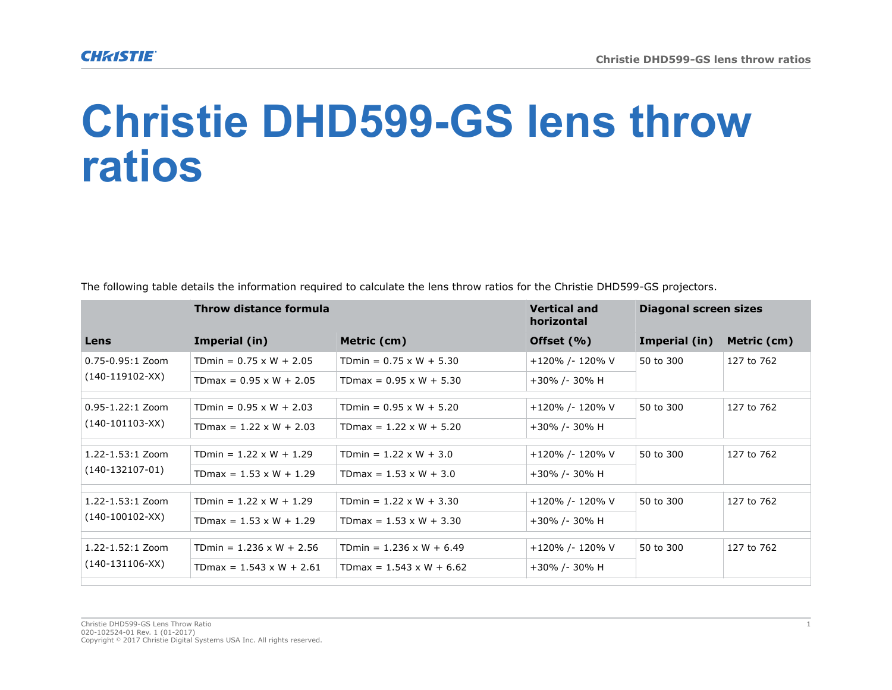## **Christie DHD599-GS lens throw ratios**

|                                           | Throw distance formula          |                                 | <b>Vertical and</b><br>horizontal | Diagonal screen sizes |             |
|-------------------------------------------|---------------------------------|---------------------------------|-----------------------------------|-----------------------|-------------|
| Lens                                      | Imperial (in)                   | Metric (cm)                     | Offset (%)                        | Imperial (in)         | Metric (cm) |
| 0.75-0.95:1 Zoom<br>(140-119102-XX)       | TDmin = $0.75 \times W + 2.05$  | TDmin = $0.75 \times W + 5.30$  | +120% /- 120% V                   | 50 to 300             | 127 to 762  |
|                                           | TDmax = $0.95 \times W + 2.05$  | $TDmax = 0.95 \times W + 5.30$  | +30% /- 30% H                     |                       |             |
| $0.95 - 1.22:1$ Zoom<br>(140-101103-XX)   | TDmin = $0.95 \times W + 2.03$  | TDmin = $0.95 \times W + 5.20$  | +120% /- 120% V                   | 50 to 300             | 127 to 762  |
|                                           | TDmax = $1.22 \times W + 2.03$  | TDmax = $1.22 \times W + 5.20$  | +30% /- 30% H                     |                       |             |
| $1.22 - 1.53:1$ Zoom<br>$(140-132107-01)$ | TDmin = $1.22 \times W + 1.29$  | TDmin = $1.22 \times W + 3.0$   | +120% /- 120% V                   | 50 to 300             | 127 to 762  |
|                                           | TDmax = $1.53 \times W + 1.29$  | TDmax = $1.53 \times W + 3.0$   | +30% /- 30% H                     |                       |             |
| 1.22-1.53:1 Zoom<br>(140-100102-XX)       | TDmin = $1.22 \times W + 1.29$  | TDmin = $1.22 \times W + 3.30$  | +120% /- 120% V                   | 50 to 300             | 127 to 762  |
|                                           | TDmax = $1.53 \times W + 1.29$  | $T$ Dmax = 1.53 x W + 3.30      | +30% /- 30% H                     |                       |             |
| 1.22-1.52:1 Zoom<br>$(140-131106-XX)$     | TDmin = $1.236 \times W + 2.56$ | TDmin = $1.236 \times W + 6.49$ | +120% /- 120% V                   | 50 to 300             | 127 to 762  |
|                                           | TDmax = $1.543 \times W + 2.61$ | TDmax = $1.543 \times W + 6.62$ | +30% /- 30% H                     |                       |             |

The following table details the information required to calculate the lens throw ratios for the Christie DHD599-GS projectors.